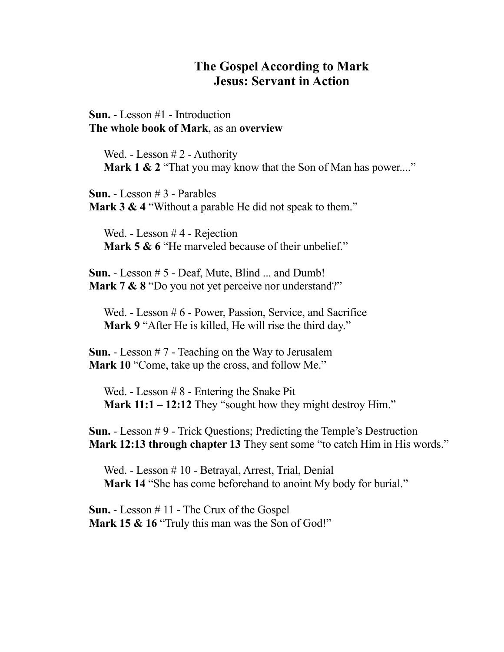# **The Gospel According to Mark Jesus: Servant in Action**

**Sun.** - Lesson #1 - Introduction **The whole book of Mark**, as an **overview**

Wed. - Lesson # 2 - Authority **Mark 1 & 2** "That you may know that the Son of Man has power...."

**Sun.** - Lesson # 3 - Parables **Mark 3 & 4** "Without a parable He did not speak to them."

Wed. - Lesson # 4 - Rejection **Mark 5 & 6** "He marveled because of their unbelief."

**Sun.** - Lesson # 5 - Deaf, Mute, Blind ... and Dumb! **Mark 7 & 8** "Do you not yet perceive nor understand?"

Wed. - Lesson # 6 - Power, Passion, Service, and Sacrifice **Mark 9** "After He is killed, He will rise the third day."

**Sun.** - Lesson # 7 - Teaching on the Way to Jerusalem Mark 10 "Come, take up the cross, and follow Me."

Wed. - Lesson # 8 - Entering the Snake Pit **Mark 11:1 – 12:12** They "sought how they might destroy Him."

**Sun.** - Lesson # 9 - Trick Questions; Predicting the Temple's Destruction **Mark 12:13 through chapter 13** They sent some "to catch Him in His words."

Wed. - Lesson # 10 - Betrayal, Arrest, Trial, Denial **Mark 14** "She has come beforehand to anoint My body for burial."

**Sun.** - Lesson # 11 - The Crux of the Gospel Mark 15 & 16 "Truly this man was the Son of God!"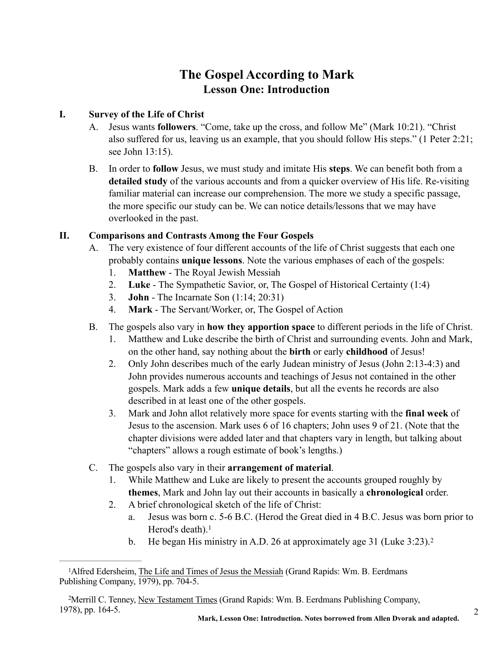# **The Gospel According to Mark Lesson One: Introduction**

### **I. Survey of the Life of Christ**

- A. Jesus wants **followers**. "Come, take up the cross, and follow Me" (Mark 10:21). "Christ also suffered for us, leaving us an example, that you should follow His steps." (1 Peter 2:21; see John 13:15).
- B. In order to **follow** Jesus, we must study and imitate His **steps**. We can benefit both from a **detailed study** of the various accounts and from a quicker overview of His life. Re-visiting familiar material can increase our comprehension. The more we study a specific passage, the more specific our study can be. We can notice details/lessons that we may have overlooked in the past.

### **II. Comparisons and Contrasts Among the Four Gospels**

- A. The very existence of four different accounts of the life of Christ suggests that each one probably contains **unique lessons**. Note the various emphases of each of the gospels:
	- 1. **Matthew** The Royal Jewish Messiah
	- 2. **Luke** The Sympathetic Savior, or, The Gospel of Historical Certainty (1:4)
	- 3. **John** The Incarnate Son (1:14; 20:31)
	- 4. **Mark** The Servant/Worker, or, The Gospel of Action
- B. The gospels also vary in **how they apportion space** to different periods in the life of Christ.
	- 1. Matthew and Luke describe the birth of Christ and surrounding events. John and Mark, on the other hand, say nothing about the **birth** or early **childhood** of Jesus!
	- 2. Only John describes much of the early Judean ministry of Jesus (John 2:13-4:3) and John provides numerous accounts and teachings of Jesus not contained in the other gospels. Mark adds a few **unique details**, but all the events he records are also described in at least one of the other gospels.
	- 3. Mark and John allot relatively more space for events starting with the **final week** of Jesus to the ascension. Mark uses 6 of 16 chapters; John uses 9 of 21. (Note that the chapter divisions were added later and that chapters vary in length, but talking about "chapters" allows a rough estimate of book's lengths.)
- C. The gospels also vary in their **arrangement of material**.
	- 1. While Matthew and Luke are likely to present the accounts grouped roughly by **themes**, Mark and John lay out their accounts in basically a **chronological** order.
	- 2. A brief chronological sketch of the life of Christ:
		- a. Jesus was born c. 5-6 B.C. (Herod the Great died in 4 B.C. Jesus was born prior to Herod's death).<sup>1</sup>
		- b. He began His ministry in A.D. 26 at approximately age 31 (Luke 3:23).<sup>2</sup>

2

<sup>&</sup>lt;sup>1</sup>Alfred Edersheim, The Life and Times of Jesus the Messiah (Grand Rapids: Wm. B. Eerdmans Publishing Company, 1979), pp. 704-5.

Merrill C. Tenney, New Testament Times (Grand Rapids: Wm. B. Eerdmans Publishing Company, 2 1978), pp. 164-5.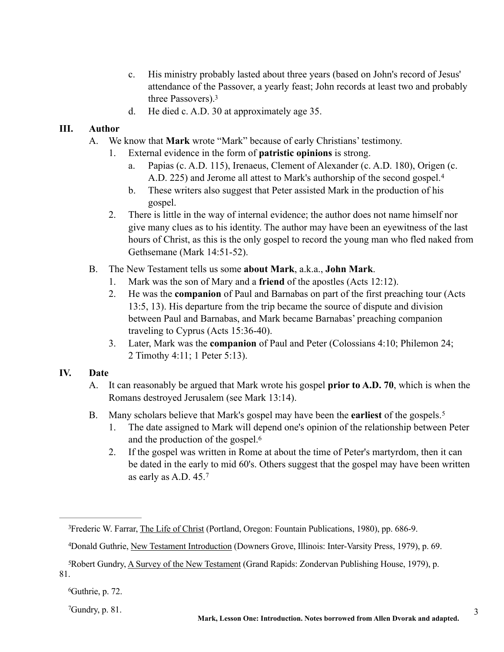- c. His ministry probably lasted about three years (based on John's record of Jesus' attendance of the Passover, a yearly feast; John records at least two and probably three Passovers).3
- d. He died c. A.D. 30 at approximately age 35.

### **III. Author**

- A. We know that **Mark** wrote "Mark" because of early Christians' testimony.
	- 1. External evidence in the form of **patristic opinions** is strong.
		- a. Papias (c. A.D. 115), Irenaeus, Clement of Alexander (c. A.D. 180), Origen (c. A.D. 225) and Jerome all attest to Mark's authorship of the second gospel.4
		- b. These writers also suggest that Peter assisted Mark in the production of his gospel.
	- 2. There is little in the way of internal evidence; the author does not name himself nor give many clues as to his identity. The author may have been an eyewitness of the last hours of Christ, as this is the only gospel to record the young man who fled naked from Gethsemane (Mark 14:51-52).
- B. The New Testament tells us some **about Mark**, a.k.a., **John Mark**.
	- 1. Mark was the son of Mary and a **friend** of the apostles (Acts 12:12).
	- 2. He was the **companion** of Paul and Barnabas on part of the first preaching tour (Acts 13:5, 13). His departure from the trip became the source of dispute and division between Paul and Barnabas, and Mark became Barnabas' preaching companion traveling to Cyprus (Acts 15:36-40).
	- 3. Later, Mark was the **companion** of Paul and Peter (Colossians 4:10; Philemon 24; 2 Timothy 4:11; 1 Peter 5:13).

### **IV. Date**

- A. It can reasonably be argued that Mark wrote his gospel **prior to A.D. 70**, which is when the Romans destroyed Jerusalem (see Mark 13:14).
- B. Many scholars believe that Mark's gospel may have been the **earliest** of the gospels.5
	- 1. The date assigned to Mark will depend one's opinion of the relationship between Peter and the production of the gospel.6
	- 2. If the gospel was written in Rome at about the time of Peter's martyrdom, then it can be dated in the early to mid 60's. Others suggest that the gospel may have been written as early as A.D. 45.7

 $^6$ Guthrie, p. 72.

 $^7$ Gundry, p. 81.

<sup>&</sup>lt;sup>3</sup>Frederic W. Farrar, The Life of Christ (Portland, Oregon: Fountain Publications, 1980), pp. 686-9.

Donald Guthrie, New Testament Introduction (Downers Grove, Illinois: Inter-Varsity Press, 1979), p. 69. 4

<sup>&</sup>lt;sup>5</sup>Robert Gundry, A Survey of the New Testament (Grand Rapids: Zondervan Publishing House, 1979), p. 81.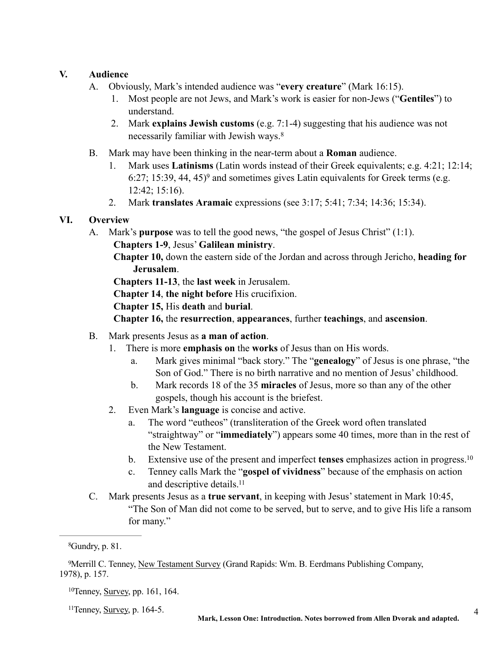### **V. Audience**

- A. Obviously, Mark's intended audience was "**every creature**" (Mark 16:15).
	- 1. Most people are not Jews, and Mark's work is easier for non-Jews ("**Gentiles**") to understand.
	- 2. Mark **explains Jewish customs** (e.g. 7:1-4) suggesting that his audience was not necessarily familiar with Jewish ways.8
- B. Mark may have been thinking in the near-term about a **Roman** audience.
	- 1. Mark uses **Latinisms** (Latin words instead of their Greek equivalents; e.g. 4:21; 12:14; 6:27; 15:39, 44, 45 $)$ <sup>9</sup> and sometimes gives Latin equivalents for Greek terms (e.g. 12:42; 15:16).
	- 2. Mark **translates Aramaic** expressions (see 3:17; 5:41; 7:34; 14:36; 15:34).

### **VI. Overview**

 A. Mark's **purpose** was to tell the good news, "the gospel of Jesus Christ" (1:1). **Chapters 1-9**, Jesus' **Galilean ministry**.

**Chapter 10,** down the eastern side of the Jordan and across through Jericho, **heading for Jerusalem**.

**Chapters 11-13**, the **last week** in Jerusalem.

**Chapter 14**, **the night before** His crucifixion.

**Chapter 15,** His **death** and **burial**.

**Chapter 16,** the **resurrection**, **appearances**, further **teachings**, and **ascension**.

- B. Mark presents Jesus as **a man of action**.
	- 1. There is more **emphasis on** the **works** of Jesus than on His words.
		- a. Mark gives minimal "back story." The "**genealogy**" of Jesus is one phrase, "the Son of God." There is no birth narrative and no mention of Jesus' childhood.
		- b. Mark records 18 of the 35 **miracles** of Jesus, more so than any of the other gospels, though his account is the briefest.
	- 2. Even Mark's **language** is concise and active.
		- a. The word "eutheos" (transliteration of the Greek word often translated "straightway" or "**immediately**") appears some 40 times, more than in the rest of the New Testament.
		- b. Extensive use of the present and imperfect **tenses** emphasizes action in progress.10
		- c. Tenney calls Mark the "**gospel of vividness**" because of the emphasis on action and descriptive details.11
- C. Mark presents Jesus as a **true servant**, in keeping with Jesus' statement in Mark 10:45, "The Son of Man did not come to be served, but to serve, and to give His life a ransom for many."

 $10$ Tenney, Survey, pp. 161, 164.

 $11$ Tenney, Survey, p. 164-5.

 $^8$ Gundry, p. 81.

<sup>&</sup>lt;sup>9</sup>Merrill C. Tenney, New Testament Survey (Grand Rapids: Wm. B. Eerdmans Publishing Company, 1978), p. 157.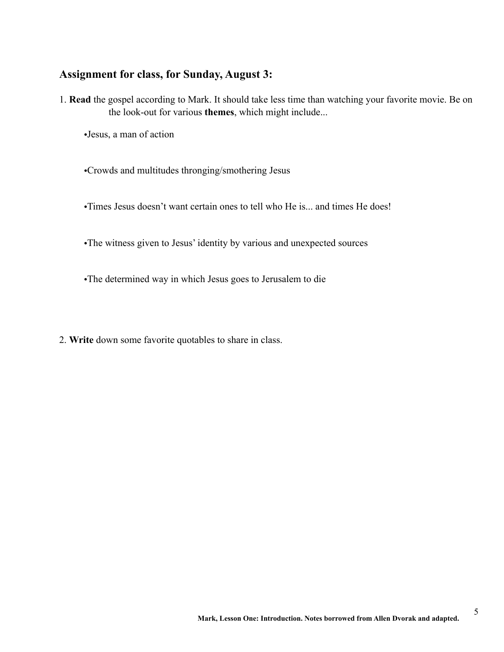### **Assignment for class, for Sunday, August 3:**

1. **Read** the gospel according to Mark. It should take less time than watching your favorite movie. Be on the look-out for various **themes**, which might include...

•Jesus, a man of action

•Crowds and multitudes thronging/smothering Jesus

•Times Jesus doesn't want certain ones to tell who He is... and times He does!

•The witness given to Jesus' identity by various and unexpected sources

•The determined way in which Jesus goes to Jerusalem to die

2. **Write** down some favorite quotables to share in class.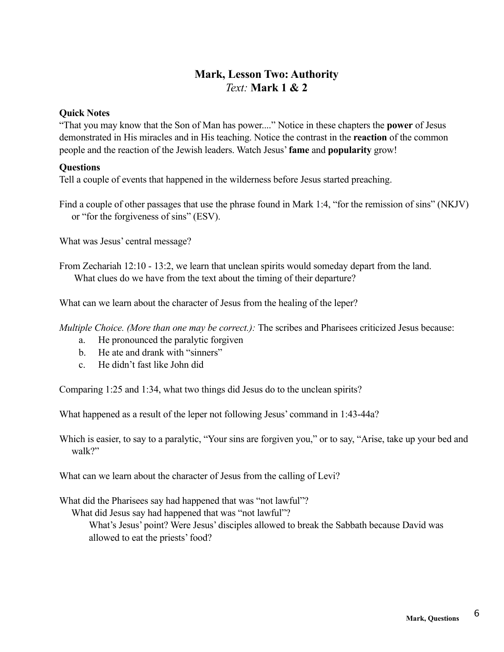# **Mark, Lesson Two: Authority**  *Text:* **Mark 1 & 2**

#### **Quick Notes**

"That you may know that the Son of Man has power...." Notice in these chapters the **power** of Jesus demonstrated in His miracles and in His teaching. Notice the contrast in the **reaction** of the common people and the reaction of the Jewish leaders. Watch Jesus' **fame** and **popularity** grow!

### **Questions**

Tell a couple of events that happened in the wilderness before Jesus started preaching.

Find a couple of other passages that use the phrase found in Mark 1:4, "for the remission of sins" (NKJV) or "for the forgiveness of sins" (ESV).

What was Jesus' central message?

From Zechariah 12:10 - 13:2, we learn that unclean spirits would someday depart from the land. What clues do we have from the text about the timing of their departure?

What can we learn about the character of Jesus from the healing of the leper?

*Multiple Choice. (More than one may be correct.):* The scribes and Pharisees criticized Jesus because:

- a. He pronounced the paralytic forgiven
- b. He ate and drank with "sinners"
- c. He didn't fast like John did

Comparing 1:25 and 1:34, what two things did Jesus do to the unclean spirits?

What happened as a result of the leper not following Jesus' command in 1:43-44a?

Which is easier, to say to a paralytic, "Your sins are forgiven you," or to say, "Arise, take up your bed and walk?"

What can we learn about the character of Jesus from the calling of Levi?

What did the Pharisees say had happened that was "not lawful"?

What did Jesus say had happened that was "not lawful"?

What's Jesus' point? Were Jesus' disciples allowed to break the Sabbath because David was allowed to eat the priests' food?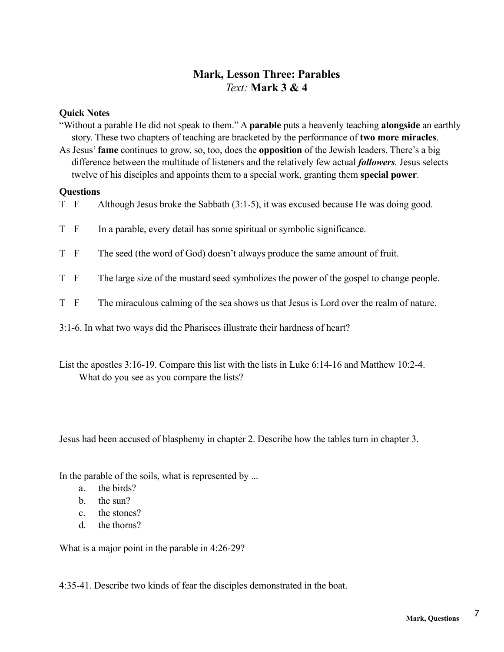# **Mark, Lesson Three: Parables** *Text:* **Mark 3 & 4**

#### **Quick Notes**

"Without a parable He did not speak to them." A **parable** puts a heavenly teaching **alongside** an earthly story. These two chapters of teaching are bracketed by the performance of **two more miracles**. As Jesus' **fame** continues to grow, so, too, does the **opposition** of the Jewish leaders. There's a big difference between the multitude of listeners and the relatively few actual *followers.* Jesus selects

twelve of his disciples and appoints them to a special work, granting them **special power**.

#### **Questions**

- T F Although Jesus broke the Sabbath (3:1-5), it was excused because He was doing good.
- T F In a parable, every detail has some spiritual or symbolic significance.
- T F The seed (the word of God) doesn't always produce the same amount of fruit.
- T F The large size of the mustard seed symbolizes the power of the gospel to change people.
- T F The miraculous calming of the sea shows us that Jesus is Lord over the realm of nature.
- 3:1-6. In what two ways did the Pharisees illustrate their hardness of heart?
- List the apostles 3:16-19. Compare this list with the lists in Luke 6:14-16 and Matthew 10:2-4. What do you see as you compare the lists?

Jesus had been accused of blasphemy in chapter 2. Describe how the tables turn in chapter 3.

In the parable of the soils, what is represented by ...

- a. the birds?
- b. the sun?
- c. the stones?
- d. the thorns?

What is a major point in the parable in 4:26-29?

4:35-41. Describe two kinds of fear the disciples demonstrated in the boat.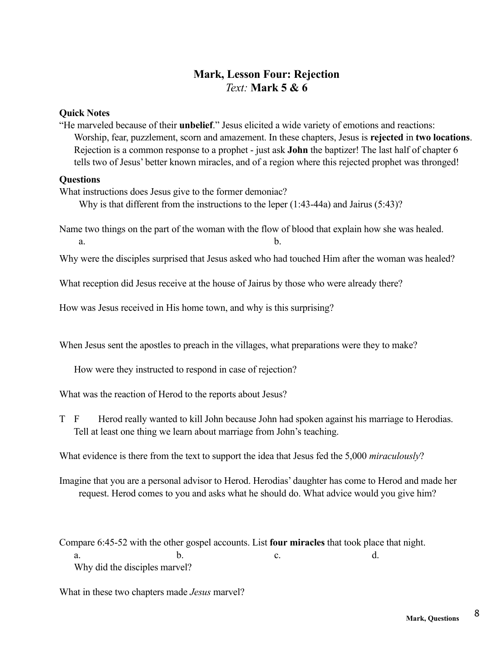# **Mark, Lesson Four: Rejection** *Text:* **Mark 5 & 6**

#### **Quick Notes**

"He marveled because of their **unbelief**." Jesus elicited a wide variety of emotions and reactions: Worship, fear, puzzlement, scorn and amazement. In these chapters, Jesus is **rejected** in **two locations**. Rejection is a common response to a prophet - just ask **John** the baptizer! The last half of chapter 6 tells two of Jesus' better known miracles, and of a region where this rejected prophet was thronged!

#### **Questions**

What instructions does Jesus give to the former demoniac?

Why is that different from the instructions to the leper (1:43-44a) and Jairus (5:43)?

Name two things on the part of the woman with the flow of blood that explain how she was healed. a. b.

Why were the disciples surprised that Jesus asked who had touched Him after the woman was healed?

What reception did Jesus receive at the house of Jairus by those who were already there?

How was Jesus received in His home town, and why is this surprising?

When Jesus sent the apostles to preach in the villages, what preparations were they to make?

How were they instructed to respond in case of rejection?

What was the reaction of Herod to the reports about Jesus?

T F Herod really wanted to kill John because John had spoken against his marriage to Herodias. Tell at least one thing we learn about marriage from John's teaching.

What evidence is there from the text to support the idea that Jesus fed the 5,000 *miraculously*?

Imagine that you are a personal advisor to Herod. Herodias' daughter has come to Herod and made her request. Herod comes to you and asks what he should do. What advice would you give him?

Compare 6:45-52 with the other gospel accounts. List **four miracles** that took place that night. a. b. c. d. Why did the disciples marvel?

What in these two chapters made *Jesus* marvel?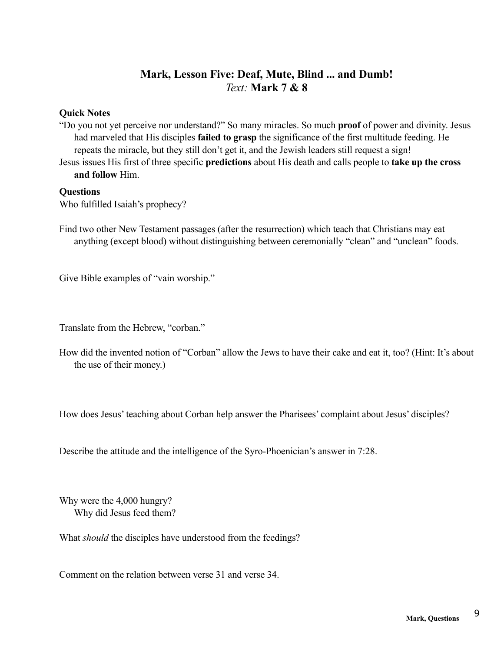# **Mark, Lesson Five: Deaf, Mute, Blind ... and Dumb!** *Text:* **Mark 7 & 8**

### **Quick Notes**

"Do you not yet perceive nor understand?" So many miracles. So much **proof** of power and divinity. Jesus had marveled that His disciples **failed to grasp** the significance of the first multitude feeding. He repeats the miracle, but they still don't get it, and the Jewish leaders still request a sign!

Jesus issues His first of three specific **predictions** about His death and calls people to **take up the cross and follow** Him.

#### **Questions**

Who fulfilled Isaiah's prophecy?

Find two other New Testament passages (after the resurrection) which teach that Christians may eat anything (except blood) without distinguishing between ceremonially "clean" and "unclean" foods.

Give Bible examples of "vain worship."

Translate from the Hebrew, "corban."

How did the invented notion of "Corban" allow the Jews to have their cake and eat it, too? (Hint: It's about the use of their money.)

How does Jesus' teaching about Corban help answer the Pharisees' complaint about Jesus' disciples?

Describe the attitude and the intelligence of the Syro-Phoenician's answer in 7:28.

Why were the 4,000 hungry? Why did Jesus feed them?

What *should* the disciples have understood from the feedings?

Comment on the relation between verse 31 and verse 34.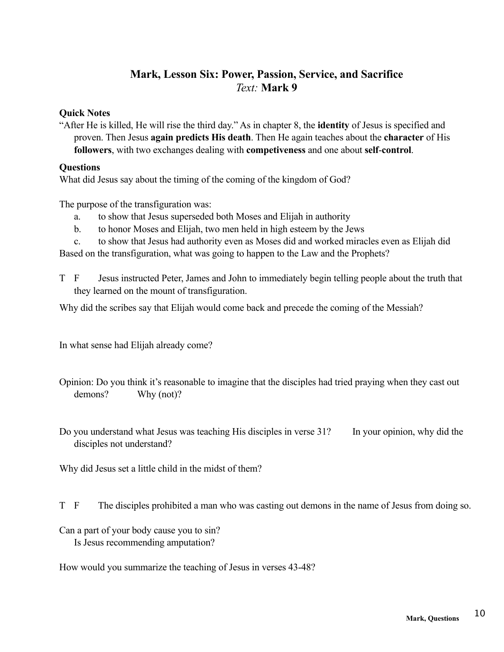# **Mark, Lesson Six: Power, Passion, Service, and Sacrifice**  *Text:* **Mark 9**

#### **Quick Notes**

"After He is killed, He will rise the third day." As in chapter 8, the **identity** of Jesus is specified and proven. Then Jesus **again predicts His death**. Then He again teaches about the **character** of His **followers**, with two exchanges dealing with **competiveness** and one about **self**-**control**.

### **Questions**

What did Jesus say about the timing of the coming of the kingdom of God?

The purpose of the transfiguration was:

- a. to show that Jesus superseded both Moses and Elijah in authority
- b. to honor Moses and Elijah, two men held in high esteem by the Jews
- c. to show that Jesus had authority even as Moses did and worked miracles even as Elijah did

Based on the transfiguration, what was going to happen to the Law and the Prophets?

T F Jesus instructed Peter, James and John to immediately begin telling people about the truth that they learned on the mount of transfiguration.

Why did the scribes say that Elijah would come back and precede the coming of the Messiah?

In what sense had Elijah already come?

Opinion: Do you think it's reasonable to imagine that the disciples had tried praying when they cast out demons? Why (not)?

Do you understand what Jesus was teaching His disciples in verse 31? In your opinion, why did the disciples not understand?

Why did Jesus set a little child in the midst of them?

- T F The disciples prohibited a man who was casting out demons in the name of Jesus from doing so.
- Can a part of your body cause you to sin?

Is Jesus recommending amputation?

How would you summarize the teaching of Jesus in verses 43-48?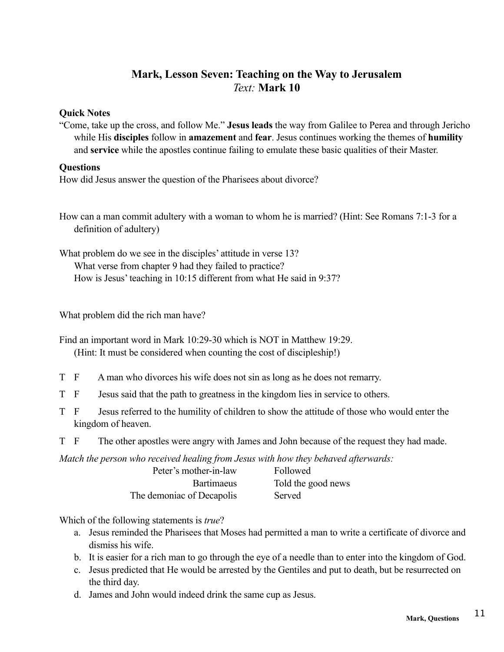# **Mark, Lesson Seven: Teaching on the Way to Jerusalem** *Text:* **Mark 10**

#### **Quick Notes**

"Come, take up the cross, and follow Me." **Jesus leads** the way from Galilee to Perea and through Jericho while His **disciples** follow in **amazement** and **fear**. Jesus continues working the themes of **humility** and **service** while the apostles continue failing to emulate these basic qualities of their Master.

#### **Questions**

How did Jesus answer the question of the Pharisees about divorce?

- How can a man commit adultery with a woman to whom he is married? (Hint: See Romans 7:1-3 for a definition of adultery)
- What problem do we see in the disciples' attitude in verse 13? What verse from chapter 9 had they failed to practice? How is Jesus' teaching in 10:15 different from what He said in 9:37?

What problem did the rich man have?

Find an important word in Mark 10:29-30 which is NOT in Matthew 19:29. (Hint: It must be considered when counting the cost of discipleship!)

- T F A man who divorces his wife does not sin as long as he does not remarry.
- T F Jesus said that the path to greatness in the kingdom lies in service to others.
- T F Jesus referred to the humility of children to show the attitude of those who would enter the kingdom of heaven.
- T F The other apostles were angry with James and John because of the request they had made.

*Match the person who received healing from Jesus with how they behaved afterwards:*

| Peter's mother-in-law     | Followed           |
|---------------------------|--------------------|
| <b>Bartimaeus</b>         | Told the good news |
| The demoniac of Decapolis | Served             |

Which of the following statements is *true*?

- a. Jesus reminded the Pharisees that Moses had permitted a man to write a certificate of divorce and dismiss his wife.
- b. It is easier for a rich man to go through the eye of a needle than to enter into the kingdom of God.
- c. Jesus predicted that He would be arrested by the Gentiles and put to death, but be resurrected on the third day.
- d. James and John would indeed drink the same cup as Jesus.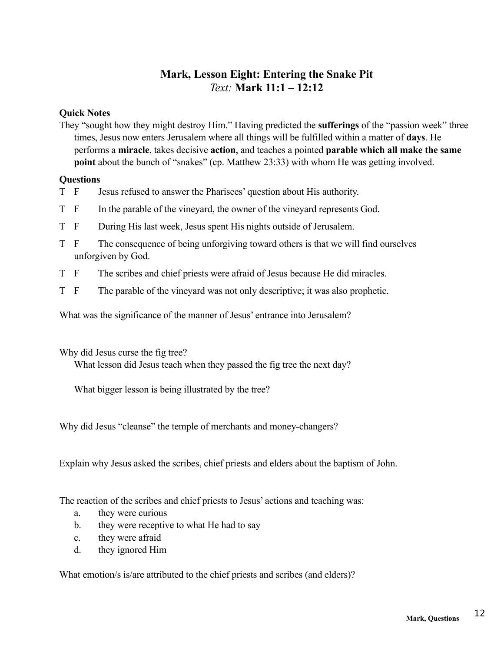# **Mark, Lesson Eight: Entering the Snake Pit** *Text:* **Mark 11:1 – 12:12**

### **Quick Notes**

They "sought how they might destroy Him." Having predicted the **sufferings** of the "passion week" three times, Jesus now enters Jerusalem where all things will be fulfilled within a matter of **days**. He performs a **miracle**, takes decisive **action**, and teaches a pointed **parable which all make the same point** about the bunch of "snakes" (cp. Matthew 23:33) with whom He was getting involved.

#### **Questions**

- T F Jesus refused to answer the Pharisees' question about His authority.
- T F In the parable of the vineyard, the owner of the vineyard represents God.
- T F During His last week, Jesus spent His nights outside of Jerusalem.
- T F The consequence of being unforgiving toward others is that we will find ourselves unforgiven by God.
- T F The scribes and chief priests were afraid of Jesus because He did miracles.
- T F The parable of the vineyard was not only descriptive; it was also prophetic.

What was the significance of the manner of Jesus' entrance into Jerusalem?

Why did Jesus curse the fig tree?

What lesson did Jesus teach when they passed the fig tree the next day?

What bigger lesson is being illustrated by the tree?

Why did Jesus "cleanse" the temple of merchants and money-changers?

Explain why Jesus asked the scribes, chief priests and elders about the baptism of John.

The reaction of the scribes and chief priests to Jesus' actions and teaching was:

- a. they were curious
- b. they were receptive to what He had to say
- c. they were afraid
- d. they ignored Him

What emotion/s is/are attributed to the chief priests and scribes (and elders)?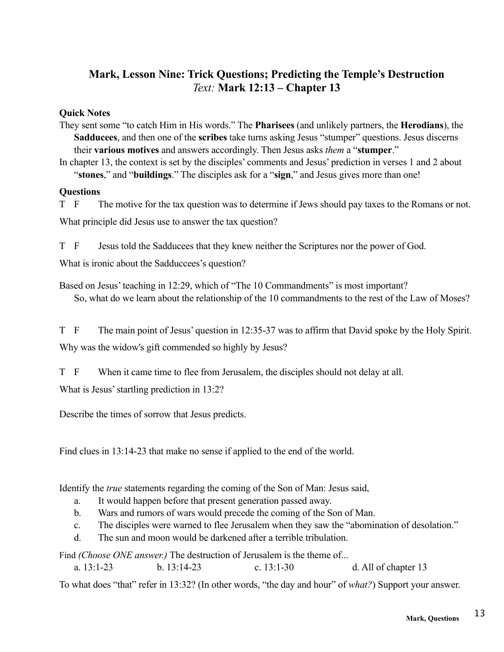# **Mark, Lesson Nine: Trick Questions; Predicting the Temple's Destruction** *Text:* **Mark 12:13 – Chapter 13**

### **Quick Notes**

They sent some "to catch Him in His words." The **Pharisees** (and unlikely partners, the **Herodians**), the **Sadducees**, and then one of the **scribes** take turns asking Jesus "stumper" questions. Jesus discerns their **various motives** and answers accordingly. Then Jesus asks *them* a "**stumper**."

In chapter 13, the context is set by the disciples' comments and Jesus' prediction in verses 1 and 2 about "**stones**," and "**buildings**." The disciples ask for a "**sign**," and Jesus gives more than one!

#### **Questions**

T F The motive for the tax question was to determine if Jews should pay taxes to the Romans or not. What principle did Jesus use to answer the tax question?

T F Jesus told the Sadducees that they knew neither the Scriptures nor the power of God.

What is ironic about the Sadduccees's question?

Based on Jesus' teaching in 12:29, which of "The 10 Commandments" is most important? So, what do we learn about the relationship of the 10 commandments to the rest of the Law of Moses?

T F The main point of Jesus' question in 12:35-37 was to affirm that David spoke by the Holy Spirit. Why was the widow's gift commended so highly by Jesus?

T F When it came time to flee from Jerusalem, the disciples should not delay at all.

What is Jesus' startling prediction in 13:2?

Describe the times of sorrow that Jesus predicts.

Find clues in 13:14-23 that make no sense if applied to the end of the world.

Identify the *true* statements regarding the coming of the Son of Man: Jesus said,

- a. It would happen before that present generation passed away.
- b. Wars and rumors of wars would precede the coming of the Son of Man.
- c. The disciples were warned to flee Jerusalem when they saw the "abomination of desolation."
- d. The sun and moon would be darkened after a terrible tribulation.

Find *(Choose ONE answer.)* The destruction of Jerusalem is the theme of...

a. 13:1-23 b. 13:14-23 c. 13:1-30 d. All of chapter 13

To what does "that" refer in 13:32? (In other words, "the day and hour" of *what?*) Support your answer.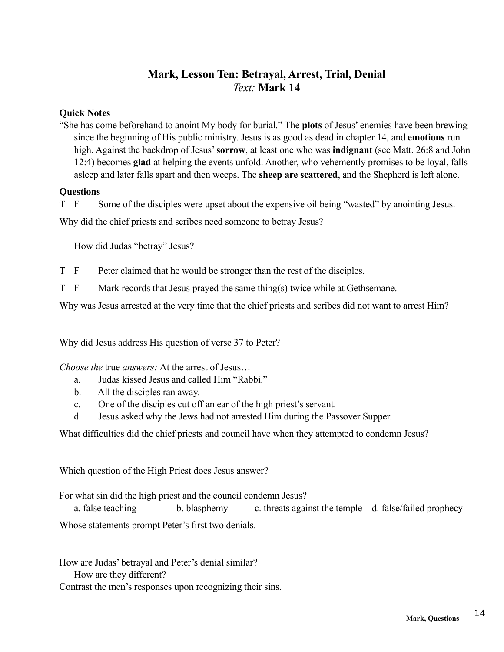# **Mark, Lesson Ten: Betrayal, Arrest, Trial, Denial** *Text:* **Mark 14**

#### **Quick Notes**

"She has come beforehand to anoint My body for burial." The **plots** of Jesus' enemies have been brewing since the beginning of His public ministry. Jesus is as good as dead in chapter 14, and **emotions** run high. Against the backdrop of Jesus' **sorrow**, at least one who was **indignant** (see Matt. 26:8 and John 12:4) becomes **glad** at helping the events unfold. Another, who vehemently promises to be loyal, falls asleep and later falls apart and then weeps. The **sheep are scattered**, and the Shepherd is left alone.

#### **Questions**

T F Some of the disciples were upset about the expensive oil being "wasted" by anointing Jesus.

Why did the chief priests and scribes need someone to betray Jesus?

How did Judas "betray" Jesus?

T F Peter claimed that he would be stronger than the rest of the disciples.

T F Mark records that Jesus prayed the same thing(s) twice while at Gethsemane.

Why was Jesus arrested at the very time that the chief priests and scribes did not want to arrest Him?

Why did Jesus address His question of verse 37 to Peter?

*Choose the* true *answers:* At the arrest of Jesus…

- a. Judas kissed Jesus and called Him "Rabbi."
- b. All the disciples ran away.
- c. One of the disciples cut off an ear of the high priest's servant.
- d. Jesus asked why the Jews had not arrested Him during the Passover Supper.

What difficulties did the chief priests and council have when they attempted to condemn Jesus?

Which question of the High Priest does Jesus answer?

For what sin did the high priest and the council condemn Jesus?

a. false teaching b. blasphemy c. threats against the temple d. false/failed prophecy Whose statements prompt Peter's first two denials.

How are Judas' betrayal and Peter's denial similar? How are they different?

Contrast the men's responses upon recognizing their sins.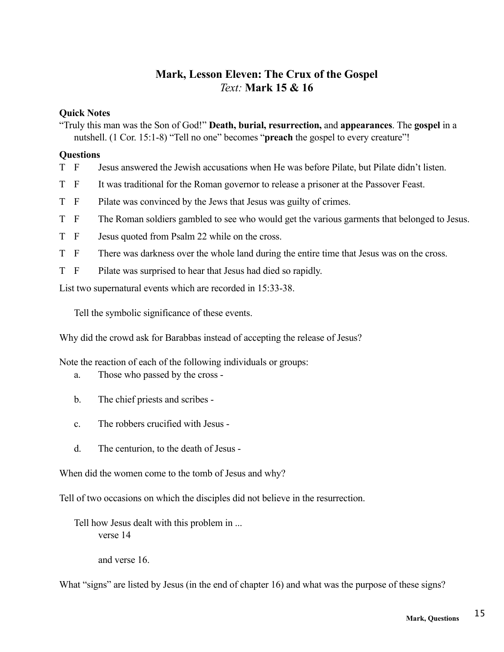# **Mark, Lesson Eleven: The Crux of the Gospel** *Text:* **Mark 15 & 16**

#### **Quick Notes**

"Truly this man was the Son of God!" **Death, burial, resurrection,** and **appearances**. The **gospel** in a nutshell. (1 Cor. 15:1-8) "Tell no one" becomes "**preach** the gospel to every creature"!

#### **Questions**

- T F Jesus answered the Jewish accusations when He was before Pilate, but Pilate didn't listen.
- T F It was traditional for the Roman governor to release a prisoner at the Passover Feast.
- T F Pilate was convinced by the Jews that Jesus was guilty of crimes.
- T F The Roman soldiers gambled to see who would get the various garments that belonged to Jesus.
- T F Jesus quoted from Psalm 22 while on the cross.
- T F There was darkness over the whole land during the entire time that Jesus was on the cross.
- T F Pilate was surprised to hear that Jesus had died so rapidly.

List two supernatural events which are recorded in 15:33-38.

Tell the symbolic significance of these events.

Why did the crowd ask for Barabbas instead of accepting the release of Jesus?

Note the reaction of each of the following individuals or groups:

- a. Those who passed by the cross -
- b. The chief priests and scribes -
- c. The robbers crucified with Jesus -
- d. The centurion, to the death of Jesus -

When did the women come to the tomb of Jesus and why?

Tell of two occasions on which the disciples did not believe in the resurrection.

Tell how Jesus dealt with this problem in ... verse 14

and verse 16.

What "signs" are listed by Jesus (in the end of chapter 16) and what was the purpose of these signs?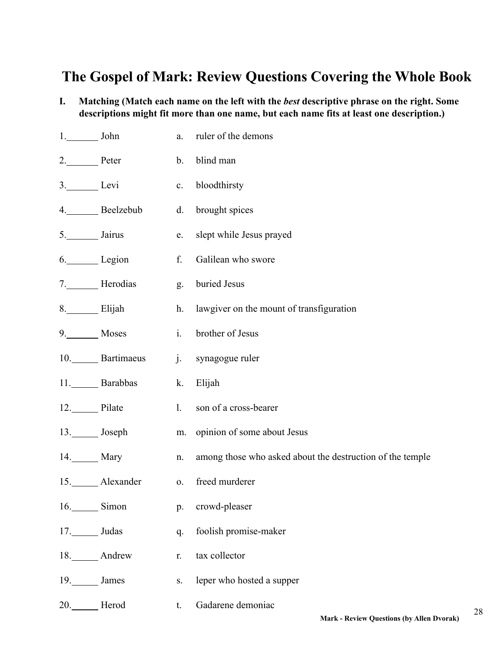# **The Gospel of Mark: Review Questions Covering the Whole Book**

**I. Matching (Match each name on the left with the** *best* **descriptive phrase on the right. Some descriptions might fit more than one name, but each name fits at least one description.)**

| $1.$ John             |                | $a$ .          | ruler of the demons                                       |
|-----------------------|----------------|----------------|-----------------------------------------------------------|
| 2. Peter              |                | $\mathbf{b}$ . | blind man                                                 |
| 3. Levi               |                | c.             | bloodthirsty                                              |
|                       | 4. Beelzebub   | d.             | brought spices                                            |
| 5.____________ Jairus |                | e.             | slept while Jesus prayed                                  |
|                       | 6. Legion      | f.             | Galilean who swore                                        |
|                       | 7. Herodias    | g.             | buried Jesus                                              |
| 8. Elijah             |                | h.             | lawgiver on the mount of transfiguration                  |
| 9. Moses              |                | $\mathbf{i}$ . | brother of Jesus                                          |
|                       | 10. Bartimaeus | $j$ .          | synagogue ruler                                           |
|                       | 11. Barabbas   | k.             | Elijah                                                    |
| 12. Pilate            |                | 1.             | son of a cross-bearer                                     |
|                       | 13. Joseph     | m.             | opinion of some about Jesus                               |
| 14. Mary              |                | n.             | among those who asked about the destruction of the temple |
|                       | 15. Alexander  | 0.             | freed murderer                                            |
| 16. Simon             |                | p.             | crowd-pleaser                                             |
| 17. Judas             |                | q.             | foolish promise-maker                                     |
|                       | 18. Andrew     | r.             | tax collector                                             |
| 19. James             |                | S.             | leper who hosted a supper                                 |
| 20.                   | Herod          | t.             | Gadarene demoniac                                         |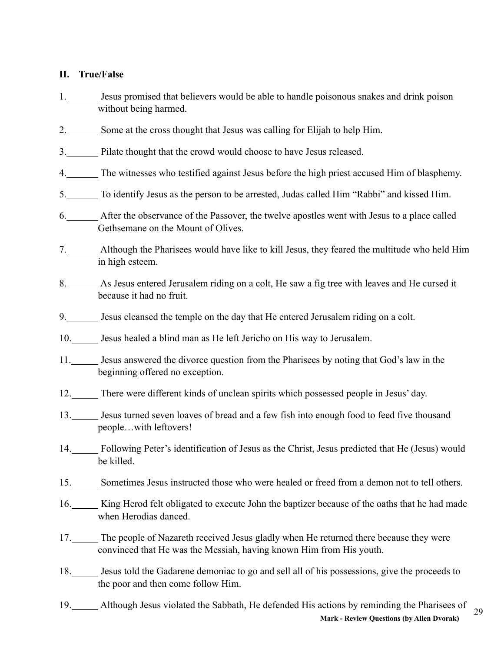### **II. True/False**

- 1. Jesus promised that believers would be able to handle poisonous snakes and drink poison without being harmed.
- 2. Some at the cross thought that Jesus was calling for Elijah to help Him.
- 3. Pilate thought that the crowd would choose to have Jesus released.
- 4. The witnesses who testified against Jesus before the high priest accused Him of blasphemy.
- 5. To identify Jesus as the person to be arrested, Judas called Him "Rabbi" and kissed Him.
- 6. After the observance of the Passover, the twelve apostles went with Jesus to a place called Gethsemane on the Mount of Olives.
- 7. Although the Pharisees would have like to kill Jesus, they feared the multitude who held Him in high esteem.
- 8. As Jesus entered Jerusalem riding on a colt, He saw a fig tree with leaves and He cursed it because it had no fruit.
- 9. Jesus cleansed the temple on the day that He entered Jerusalem riding on a colt.
- 10. Jesus healed a blind man as He left Jericho on His way to Jerusalem.
- 11. Jesus answered the divorce question from the Pharisees by noting that God's law in the beginning offered no exception.
- 12. There were different kinds of unclean spirits which possessed people in Jesus' day.
- 13. Jesus turned seven loaves of bread and a few fish into enough food to feed five thousand people…with leftovers!
- 14. Following Peter's identification of Jesus as the Christ, Jesus predicted that He (Jesus) would be killed.
- 15. Sometimes Jesus instructed those who were healed or freed from a demon not to tell others.
- 16. King Herod felt obligated to execute John the baptizer because of the oaths that he had made when Herodias danced.
- 17. The people of Nazareth received Jesus gladly when He returned there because they were convinced that He was the Messiah, having known Him from His youth.
- 18. Jesus told the Gadarene demoniac to go and sell all of his possessions, give the proceeds to the poor and then come follow Him.
- 29 19. Although Jesus violated the Sabbath, He defended His actions by reminding the Pharisees of **Mark - Review Questions (by Allen Dvorak)**